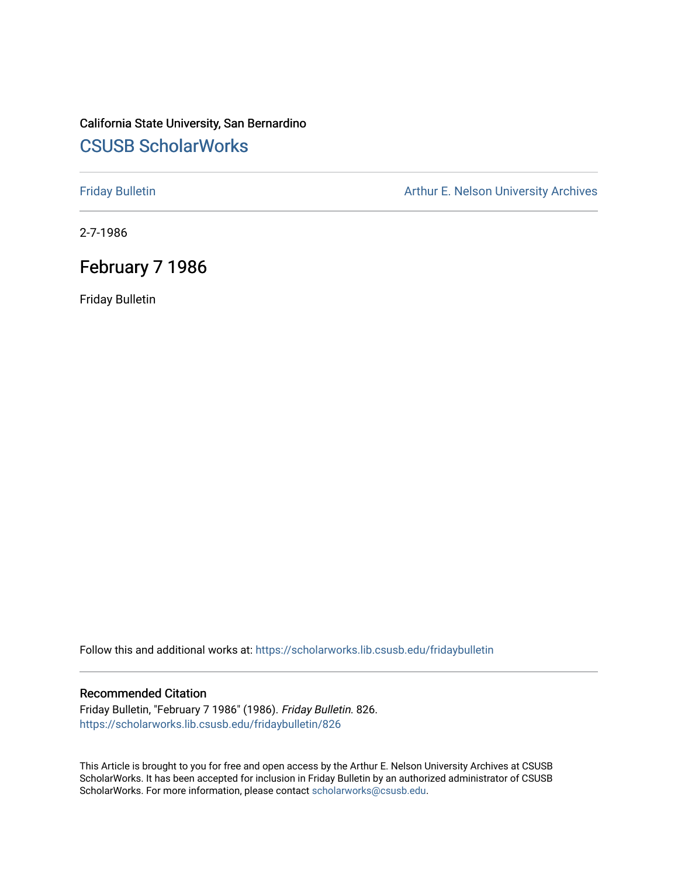# California State University, San Bernardino [CSUSB ScholarWorks](https://scholarworks.lib.csusb.edu/)

[Friday Bulletin](https://scholarworks.lib.csusb.edu/fridaybulletin) **Arthur E. Nelson University Archives** Arthur E. Nelson University Archives

2-7-1986

# February 7 1986

Friday Bulletin

Follow this and additional works at: [https://scholarworks.lib.csusb.edu/fridaybulletin](https://scholarworks.lib.csusb.edu/fridaybulletin?utm_source=scholarworks.lib.csusb.edu%2Ffridaybulletin%2F826&utm_medium=PDF&utm_campaign=PDFCoverPages)

### Recommended Citation

Friday Bulletin, "February 7 1986" (1986). Friday Bulletin. 826. [https://scholarworks.lib.csusb.edu/fridaybulletin/826](https://scholarworks.lib.csusb.edu/fridaybulletin/826?utm_source=scholarworks.lib.csusb.edu%2Ffridaybulletin%2F826&utm_medium=PDF&utm_campaign=PDFCoverPages)

This Article is brought to you for free and open access by the Arthur E. Nelson University Archives at CSUSB ScholarWorks. It has been accepted for inclusion in Friday Bulletin by an authorized administrator of CSUSB ScholarWorks. For more information, please contact [scholarworks@csusb.edu.](mailto:scholarworks@csusb.edu)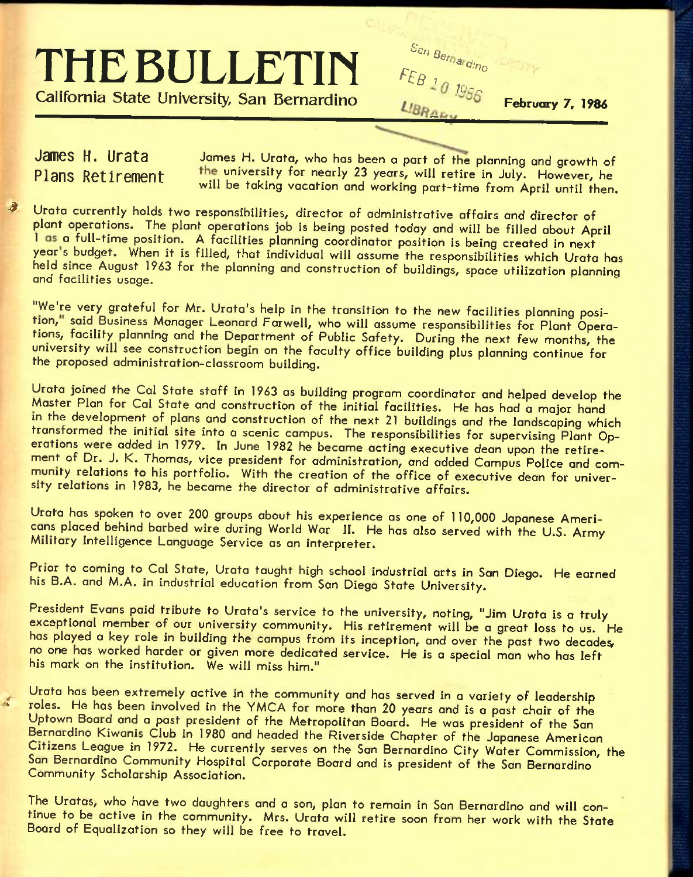# THE BULLETIN FEB 10 1986 **California State University, San Bernardino** *LIBRARY*

February 7, 1986

**James H. Urata** James H. Uroto, who has been a part of the planning and growth of Plans Retirement the university for nearly 23 years, will retire in July. However, he will be taking vacation and working part-time from April until then.

Urata currently holds two responsibilities, director of administrative affairs and director of plant operations. The plant operations job is being posted today and will be filled about April 1 as a full-time position. A facilities planning coordinator position is being created in next year's budget. When it is filled, that individual will assume the responsibilities which Urata has held since August 1963 for the planning and construction of buildings, space utilization planninq and facilities usage.

"We're very grateful for Mr. Urata's help in the transition to the new facilities planning position," said Business Manager Leonard Farwell, who will assume responsibilities for Plant Operations, facility planning and the Department of Public Safety. During the next few months, the university will see construction begin on the faculty office building plus planning continue for the proposed administration-classroom building.

Urata joined the Cal State staff in 1963 as building program coordinator and helped develop the Master Plan for Cal State and construction of the initial facilities. He has had a major hand in the development of plans and construction of the next 21 buildings and the landscaping which transformed the initial site into a scenic campus. The responsibilities for supervising Plant Operations were added in 1979. In June 1982 he became acting executive dean upon the retirement of Dr. J. K. Thomas, vice president for administration, and added Campus Police and community relations to his portfolio. With the creation of the office of executive dean for university relations in 1983, he became the director of administrative affairs.

Urata has spoken to over 200 groups about his experience as one of 110,000 Japanese Americans placed behind barbed wire during World War II. He has also served with the U.S. Army Military Intelligence Language Service as an interpreter.

Prior to coming to Cal State, Urata taught high school industrial arts in San Diego. He earned his B.A. and M.A. in industrial education from San Diego State University.

President Evans paid tribute to Urata's service to the university, noting, "Jim Urata is a truly exceptional member of our university community. His retirement will be a great loss to us. He has played a key role in building the campus from its inception, and over the past two decades, no one has worked harder or given more dedicated service. He is a special man who has left his mark on the institution. We will miss him."

Urata has been extremely active in the community and has served in a variety of leadership roles. He has been involved in the YMCA for more than 20 years and is a past chair of the Uptown Board and a past president of the Metropolitan Board. He was president of the San Bernardino Kiwanis Club in 1980 and headed the Riverside Chapter of the Japanese American Citizens League in 1972. He currently serves on the San Bernardino City Water Commission, the San Bernardino Community Hospital Corporate Board and is president of the San Bernardino Community Scholarship Association.

The Uratas, who have two daughters and a son, plan to remain in San Bernardino and will continue to be active in the community. Mrs. Urata will retire soon from her work with the State Board of Equalization so they will be free to travel.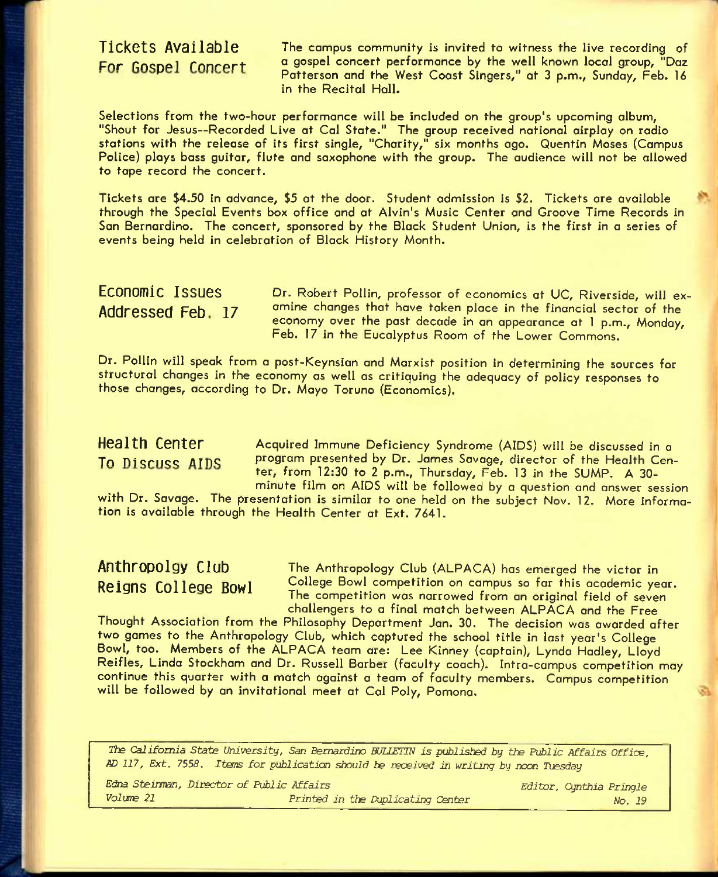Tickets Available The campus community is invited to witness the live recording of For Gospel Concert a gospel concert performance by the well known local group, "Daz Patterson and the West Coast Singers," at 3 p.m., Sunday, Feb. 16 in the Recital Hall.

Selections from the two-hour performance will be included on the group's upcoming album, "Shout for Jesus—Recorded Live at Gal State." The group received national airplay on radio stations with the release of its first single, "Charity," six months ago. Quentin Moses (Campus Police) ploys bass guitar, flute and saxophone with the group. The audience will not be allowed to tape record the concert.

Tickets are \$4.50 in advance, \$5 at the door. Student admission is \$2. Tickets ore available through the Special Events box office and at Alvin's Music Center and Groove Time Records in Son Bernardino. The concert, sponsored by the Black Student Union, is the first in a series of events being held in celebration of Block History Month.

ECONOMIC ISSUES Dr. Robert Pollin, professor of economics at UC, Riverside, will ex-Addressed Feb. 17 omine changes that have taken place in the financial sector of the economy over the past decade in an appearance at 1 p.m., Monday, Feb. 17 in the Eucalyptus Room of the Lower Commons.

Dr. Pollin will speak from a post-Keynsion and Marxist position in determining the sources for structural changes in the economy as well as critiquing the adequacy of policy responses to those changes, according to Dr. Mayo Toruno (Economics).

Health Center Acquired Immune Deficiency Syndrome (AIDS) will be discussed in a To Discuss AIDS program presented by Dr. James Savage, director of the Health Center, from 12:30 to 2 p.m., Thursday, Feb. 13 in the SUMP. A 30 minute film on AIDS will be followed by a question and answer session

with Dr. Savage. The presentation is similar to one held on the subject Nov. 12. More information is available through the Health Center at Ext. 7641.

**Anthropolgy Club** The Anthropology Club (ALPACA) has emerged the victor in Reigns College Bowl <sup>College Bowl competition on campus so far this academic year.</sup> The competition was narrowed from an original field of seven challengers to a final match between ALPACA and the Free

Thought Association from the Philosophy Department Jan. 30. The decision was awarded after two games to the Anthropology Club, which coptured the school title in last year's College Bowl, too. Members of the ALPACA team are: Lee Kinney (captain), Lynda Hadley, Lloyd Reifies, Linda Stockham and Dr. Russell Barber (faculty coach). Intra-campus competition may continue this quarter with a match against a team of faculty members. Campus competition will be followed by an invitational meet at Cal Poly, Pomona.

*The California State University, San Bernardino EUUETIN is published by* tte *Public Affairs Office, AD 117, Ext. 7558. Items for publication should be received in writing by noon Tiesday* 

| Edna Steinman, Director of Public Affairs |                                   | Editor, Cynthia Pringle |
|-------------------------------------------|-----------------------------------|-------------------------|
| Volume 21                                 | Printed in the Duplicating Center | No. 19                  |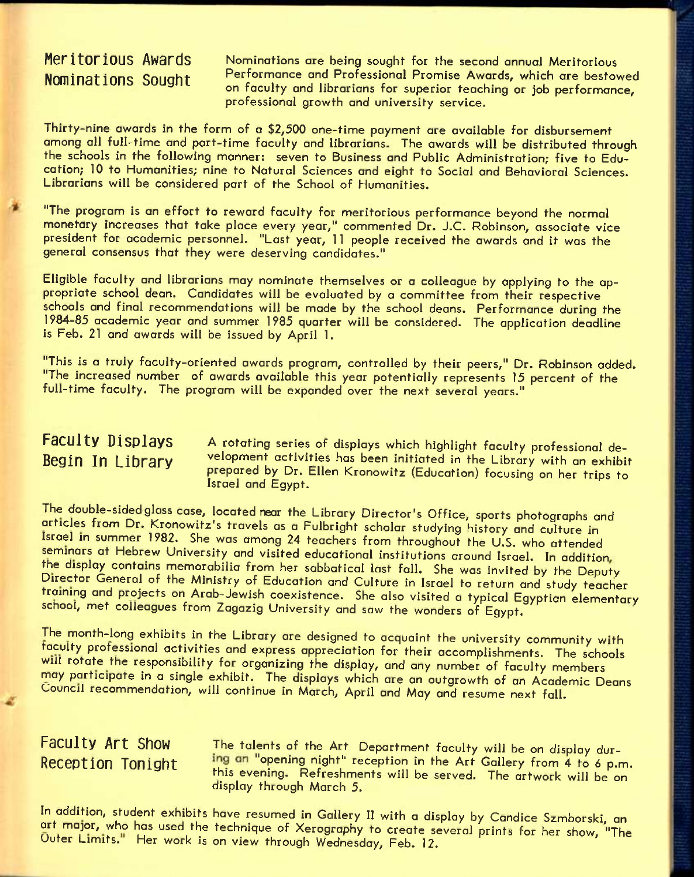Meritorious Awards **Nominations are being sought for the second annual Meritorious Nominations Sought** Performance and Professional Promise Awards, which are bestowed on faculty and librarians for superior teaching or job performance, professional growth and university service.

Thirty-nine awards in the form of a \$2,500 one-time payment are available for disbursement among all full-time and part-time faculty and librarians. The awards will be distributed through the schools in the following manner: seven to Business and Public Administration; five to Education; 10 to Humanities; nine to Natural Sciences and eight to Social and Behavioral Sciences. Librarians will be considered part of the School of Humanities.

"The program is an effort to reword faculty for meritorious performance beyond the normal monetary increases that take place every year," commented Dr. J.C. Robinson, associate vice president for academic personnel. "Last year, 11 people received the awards and it was the general consensus that they were deserving candidates."

Eligible faculty and librarians may nominate themselves or a colleague by applying to the appropriate school dean. Candidates will be evaluated by a committee from their respective schools and final recommendations will be made by the school deans. Performance during the 1984-85 academic year and summer 1985 quarter will be considered. The application deadline is Feb. 21 and awards will be issued by April 1.

"This is a truly faculty-oriented awards program, controlled by their peers," Dr. Robinson added. "The increased number of awards available this year potentially represents 15 percent of the full-time faculty. The program will be expanded over the next several years."

Faculty Displays A rotating series of displays which highlight faculty professional de-**Begin In Library** velopment activities has been initiated in the Library with an exhibit prepared by Dr. Ellen Kronowitz (Education) focusing on her trips to Israel and Egypt.

The double-sided glass case, located near the Library Director's Office, sports photographs and articles from Dr. Kronowitz's travels as a Fulbright scholar studying history and culture in Israel in summer 1982. She was among 24 teachers from throughout the U.S. who attended seminars at Hebrew University and visited educational institutions around Israel. In addition, the display contains memorabilia from her sabbatical last fall. She was invited by the Deputy Director General of the Ministry of Education and Culture in Israel to return and study teacher training and projects on Arab-Jewish coexistence. She also visited a typical Egyptian elementary school, met colleagues from Zagazig University and saw the wonders of Egypt.

The month-long exhibits in the Library are designed to acquaint the university community with taculty professional activities and express appreciation for their accomplishments. The schools will rotate the responsibility for organizing the display, and any number of faculty members may participate in a single exhibit. The displays which are an outgrowth of an Academic Deans Council recommendation, will continue in March, April and May and resume next fall.

**Faculty Art Show** The talents of the Art Department faculty will be on display dur-Reception Tonight ing an "opening night" reception in the Art Gallery from 4 to 6 p.m. this evening. Refreshments will be served. The artwork will be on display through March 5.

In addition, student exhibits have resumed in Gallery II with a display by Candice Szmborski, an art major, who has used the technique of Xerography to create several prints for her show, "The Outer Limits." Her work is on view through Wednesday, Feb. 12.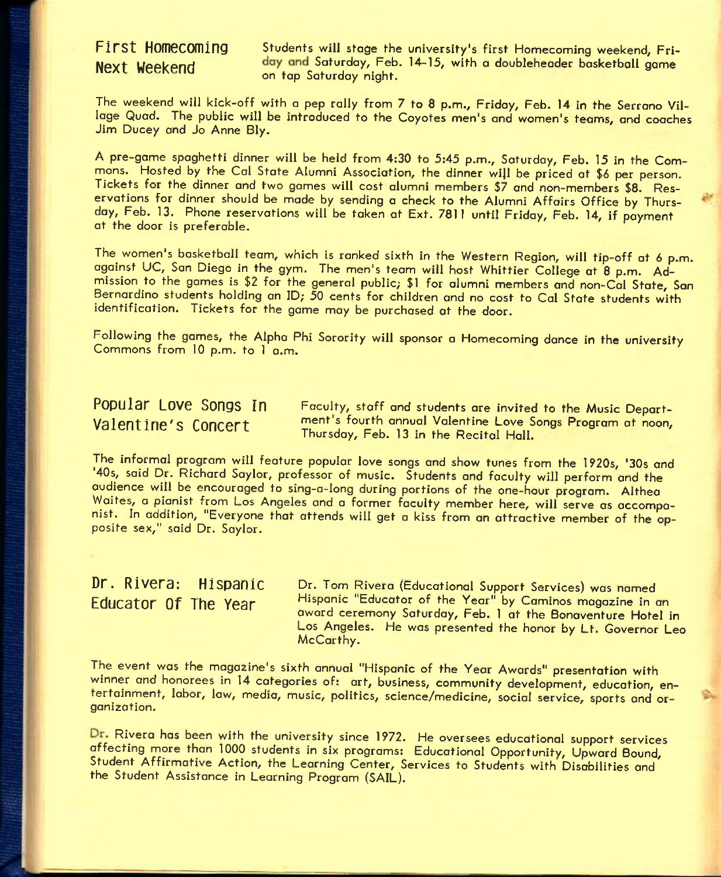First Homecoming Students will stage the university's first Homecoming weekend, Fri-Next Weekend day and Saturday, Feb. 14-15, with a doubleheader basketball game on tap Saturday night.

The weekend will kick-off with a pep rally from 7 to 8 p.m., Friday, Feb. 14 in the Serrano Village Quad. The public will be introduced to the Coyotes men's and women's teams, and coaches Jim Ducey and Jo Anne Bly.

A pre-game spaghetti dinner will be held from 4:30 to 5:45 p.m., Saturday, Feb. 15 in the Commons. Hosted by the Cal State Alumni Association, the dinner wiJI be priced at *\$6* per person. Tickets for the dinner and two games will cost alumni members \$7 and non-members \$8. Reservations for dinner should be mode by sending a check to the Alumni Affairs Office by Thursday, Feb. 13. Phone reservations will be taken at Ext. 7811 until Friday, Feb. 14, if payment at the door is preferable.

The women's basketball team, which is ranked sixth in the Western Region, will tip-off at *6* p.m. against UC, San Diego in the gym. The men's team will host Whittier College at 8 p.m. Admission to the games is \$2 for the general public; \$1 for alumni members and non-Cal State, Son Bernardino students holding an ID; 50 cents for children and no cost to Col State students with identification. Tickets for the game may be purchased at the door.

Following the games, the Alpha Phi Sorority will sponsor a Homecoming dance in the university Commons from 10 p.m. to 1 a.m.

**Popular Love Songs In** Faculty, staff and students are invited to the Music Deport-**Valentine'S Concert** ment's fourth annual Valentine Love Songs Program at noon, Thursday, Feb. 13 in the Recital Hall.

The informal program will feature popular love songs and show tunes from the 1920s, '30s and '40s, said Dr. Richard Saylor, professor of music. Students and faculty will perform and the audience will be encouraged to sing-a-long during portions of the one-hour program. Althea Waites, a pianist from Los Angeles and a former faculty member here, will serve as accompanist. In addition, "Everyone that attends will get a kiss from an attractive member of the opposite sex," said Dr. Saylor.

Dr. Rivera: Hispanic Dr. Tom Rivera (Educational Support Services) was named **Educator Of The Year** Hispanic "Educator of the Year" by Caminos magazine in an award ceremony Saturday, Feb. 1 at the Bonoventure Hotel in Los Angeles. He was presented the honor by Lt. Governor Leo McCarthy.

The event was the magazine's sixth annual "Hispanic of the Year Awards" presentation with winner and honorees in 14 categories of: art, business, community development, education, entertainment, labor, law, media, music, politics, science/medicine, social service, sports and organization.

Rivera has been with the university since 1972. He oversees educational support services affecting more than 1000 students in six programs: Educational Opportunity, Upward Bound, Student Affirmative Action, the Learning Center, Services to Students with Disabilities and the Student Assistance in Learning Program (SAIL).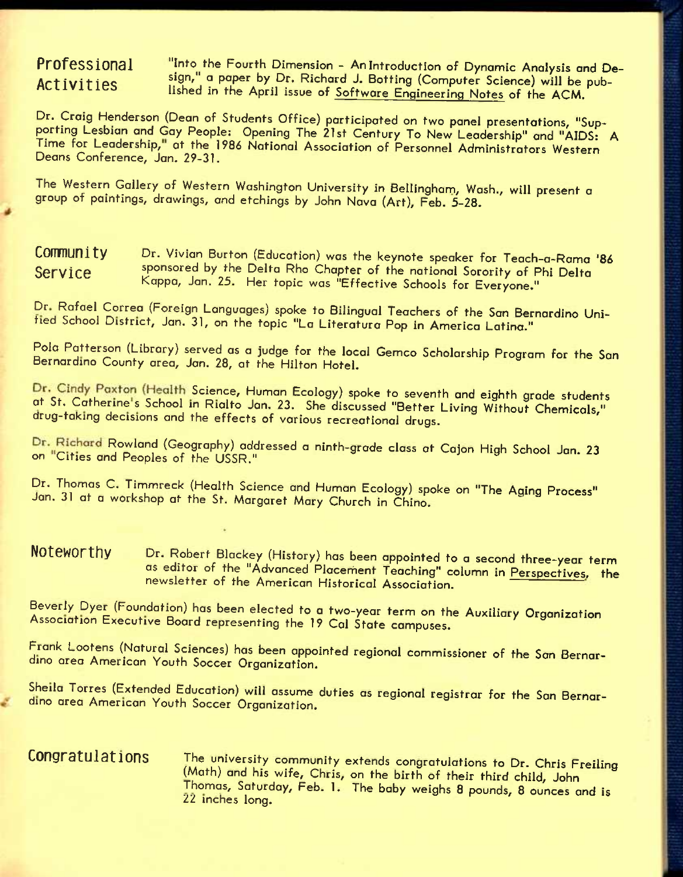**Professional Activities** 

"Into the Fourth Dimension - An Introduction of Dynamic Analysis and Design," a paper by Dr. Richard J. Botting (Computer Science) will be published in the April issue of Software Engineering Notes of the ACM.

Dr. Craig Henderson (Dean of Students Office) participated on two panel presentations, "Supporting Lesbian and Gay People: Opening The 21st Century To New Leadership" and "AIDS: A Time for Leadership," at the 1986 National Association of Personnel Administrators Western Deans Conference, Jan. 29-31.

The Western Gallery of Western Washington University in Bellingham, Wash., will present a group of paintings, drawings, and etchings by John Nava (Art), Feb. 5-28.

**COMMUNIty** Dr. Vivian Burton (Education) was the keynote speaker for Teach-a-Rama '86 Service sponsored by the Delta Rho Chapter of the national Sorority of Phi Delta Kappa, Jan. 25. Her topic was "Effective Schools for Everyone."

Dr Rafael Correa (Foreign Languages) spoke to Bilingual Teachers of the San Bernardino Unltied School District, Jan. 31, on the topic "La Literatura Pop in America Latino."

Pola Patterson (Library) served as a judge for the local Gemco Scholarship Program for the San Bernardino County area, Jan. 28, at the Hilton Hotel.

Dr. Cindy Paxton (Health Science, Human Ecology) spoke to seventh and eighth grade students at St. Catherine's School in Rialto Jan. 23. She discussed "Better Living Without Chemicals," drug-taking decisions and the effects of various recreational drugs.

Dr. Richard Rowland (Geography) addressed a ninth-grade class at Cajon High School Jan. 23 on "Cities and Peoples of the USSR."

Dr. Thomas C. Timmreck (Health Science and Human Ecology) spoke on "The Aqing Process" Jan. 31 at a workshop at the St. Margaret Mary Church in Chino.

**NOtGWOrthy** Dr. Robert Blackey (History) has been appointed to a second three-year term as editor of the "Advanced Placement Teaching" column in Perspectives, the newsletter of the American Historical Association.

Beverly Dyer (Foundation) has been elected to a two-year term on the Auxiliary Organization Association Executive Board representing the 19 Cal State campuses.

Frank Lootens (Natural Sciences) has been appointed regional commissioner of the San Bernardino area American Youth Soccer Organization.

Sheila Torres (Extended Education) will assume duties as regional registrar for the San Bernardino area American Youth Soccer Organization.

# **Congratulations** The university community extends congratulations to Dr. Chris Freiling (Math) and his wife, Chris, on the birth of their third child, John Thomas, Saturday, Feb. 1. The baby weighs 8 pounds, 8 ounces and is 22 inches long.